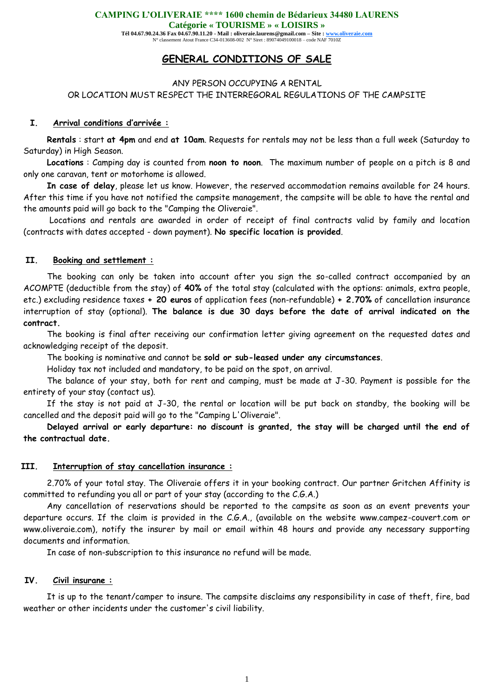**CAMPING L'OLIVERAIE \*\*\*\* 1600 chemin de Bédarieux 34480 LAURENS** 

**Catégorie « TOURISME » « LOISIRS »** 

**Tél 04.67.90.24.36 Fax 04.67.90.11.20 - Mail : oliveraie.laurens@gmail.com – Site : www.oliveraie.com** N° classement Atout France C34-013608-002 N° Siret : 89074049100018 – code NAF 7010Z

# **GENERAL CONDITIONS OF SALE**

#### ANY PERSON OCCUPYING A RENTAL OR LOCATION MUST RESPECT THE INTERREGORAL REGULATIONS OF THE CAMPSITE

#### **I. Arrival conditions d'arrivée :**

**Rentals** : start **at 4pm** and end **at 10am**. Requests for rentals may not be less than a full week (Saturday to Saturday) in High Season.

**Locations** : Camping day is counted from **noon to noon**. The maximum number of people on a pitch is 8 and only one caravan, tent or motorhome is allowed.

**In case of delay**, please let us know. However, the reserved accommodation remains available for 24 hours. After this time if you have not notified the campsite management, the campsite will be able to have the rental and the amounts paid will go back to the "Camping the Oliveraie".

Locations and rentals are awarded in order of receipt of final contracts valid by family and location (contracts with dates accepted - down payment). **No specific location is provided**.

#### **II. Booking and settlement :**

The booking can only be taken into account after you sign the so-called contract accompanied by an ACOMPTE (deductible from the stay) of **40%** of the total stay (calculated with the options: animals, extra people, etc.) excluding residence taxes **+ 20 euros** of application fees (non-refundable) **+ 2.70%** of cancellation insurance interruption of stay (optional). **The balance is due 30 days before the date of arrival indicated on the contract.**

The booking is final after receiving our confirmation letter giving agreement on the requested dates and acknowledging receipt of the deposit.

The booking is nominative and cannot be **sold or sub-leased under any circumstances**.

Holiday tax not included and mandatory, to be paid on the spot, on arrival.

The balance of your stay, both for rent and camping, must be made at J-30. Payment is possible for the entirety of your stay (contact us).

If the stay is not paid at J-30, the rental or location will be put back on standby, the booking will be cancelled and the deposit paid will go to the "Camping L'Oliveraie".

**Delayed arrival or early departure: no discount is granted, the stay will be charged until the end of the contractual date.**

#### **III. Interruption of stay cancellation insurance :**

2.70% of your total stay. The Oliveraie offers it in your booking contract. Our partner Gritchen Affinity is committed to refunding you all or part of your stay (according to the C.G.A.)

Any cancellation of reservations should be reported to the campsite as soon as an event prevents your departure occurs. If the claim is provided in the C.G.A., (available on the website www.campez-couvert.com or www.oliveraie.com), notify the insurer by mail or email within 48 hours and provide any necessary supporting documents and information.

In case of non-subscription to this insurance no refund will be made.

#### **IV. Civil insurane :**

It is up to the tenant/camper to insure. The campsite disclaims any responsibility in case of theft, fire, bad weather or other incidents under the customer's civil liability.